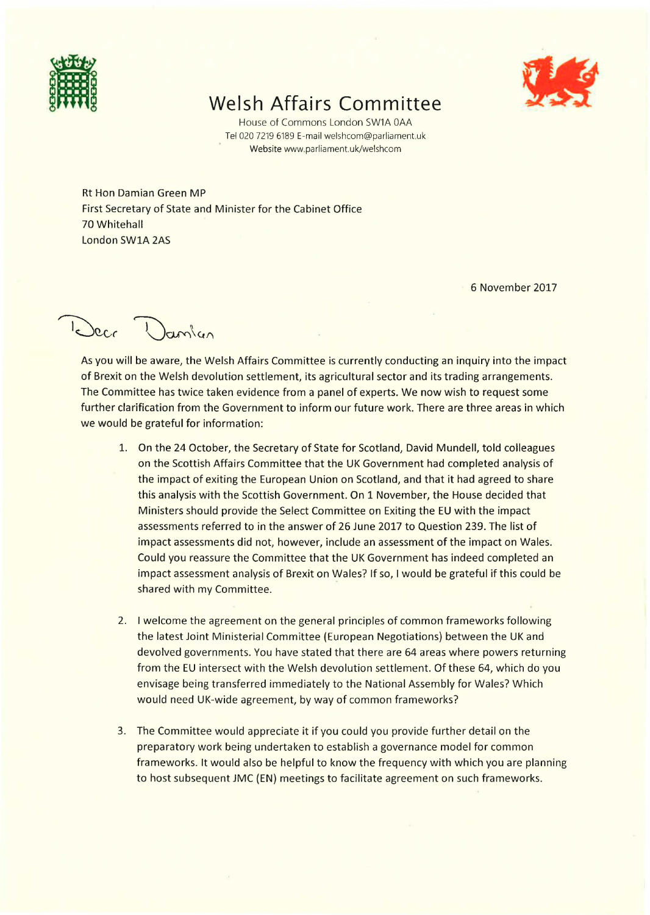

## **Welsh Affairs Committee**



House of Commons London SW1A OAA Tel 020 7219 6189 E-mail welshcom@parliament.uk Website www.parliament.uk/welshcom

Rt Hon Damian Green MP First Secretary of State and Minister for the Cabinet Office 70 Whitehall London SWlA 2AS

6 November 2017

Decr ?

As you will be aware, the Welsh Affairs Committee is currently conducting an inquiry into the impact of Brexit on the Welsh devolution settlement, its agricultural sector and its trading arrangements. The Committee has twice taken evidence from a panel of experts. We now wish to request some further clarification from the Government to inform our future work. There are three areas in which we would be grateful for information:

- 1. On the 24 October, the Secretary of State for Scotland, David Mundell, told colleagues on the Scottish Affairs Committee that the UK Government had completed analysis of the impact of exiting the European Union on Scotland, and that it had agreed to share this analysis with the Scottish Government. On 1 November, the House decided that Ministers should provide the Select Committee on Exiting the EU with the impact assessments referred to in the answer of 26 June 2017 to Question 239. The list of impact assessments did not, however, include an assessment of the impact on Wales. Could you reassure the Committee that the UK Government has indeed completed an impact assessment analysis of Brexit on Wales? If so, I would be grateful if this could be shared with my Committee.
- 2. I welcome the agreement on the general principles of common frameworks following the latest Joint Ministerial Committee (European Negotiations) between the UK and devolved governments. You have stated that there are 64 areas where powers returning from the EU intersect with the Welsh devolution settlement. Of these 64, which do you envisage being transferred immediately to the National Assembly for Wales? Which would need UK-wide agreement, by way of common frameworks?
- 3. The Committee would appreciate it if you could you provide further detail on the preparatory work being undertaken to establish a governance model for common frameworks. It would also be helpful to know the frequency with which you are planning to host subsequent JMC {EN) meetings to facilitate agreement on such frameworks.